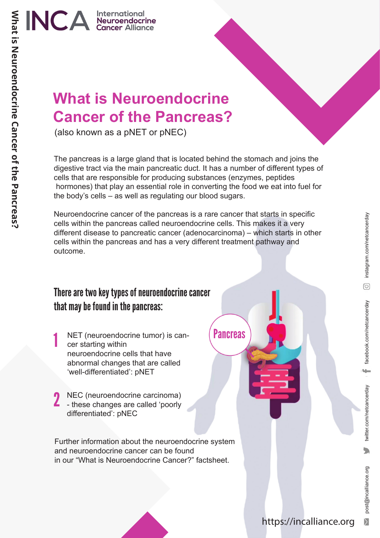

### **What is Neuroendocrine Cancer of the Pancreas?**

(also known as a pNET or pNEC)

The pancreas is a large gland that is located behind the stomach and joins the digestive tract via the main pancreatic duct. It has a number of different types of cells that are responsible for producing substances (enzymes, peptides hormones) that play an essential role in converting the food we eat into fuel for the body's cells – as well as regulating our blood sugars.

Neuroendocrine cancer of the pancreas is a rare cancer that starts in specific cells within the pancreas called neuroendocrine cells. This makes it a very different disease to pancreatic cancer (adenocarcinoma) – which starts in other cells within the pancreas and has a very different treatment pathway and outcome.

#### There are two key types of neuroendocrine cancer that may be found in the pancreas:

- 1 NET (neuroendocrine tumor) is cancer starting within neuroendocrine cells that have abnormal changes that are called 'well-differentiated': pNET
- 2 NEC (neuroendocrine carcinoma)<br>- these changes are called 'poorly NEC (neuroendocrine carcinoma) differentiated': pNEC

Further information about the neuroendocrine system and neuroendocrine cancer can be found in our "What is Neuroendocrine Cancer?" factsheet.

**Pancreas** 

 $\overline{\sum}$ 

 $\overline{\phantom{a}}$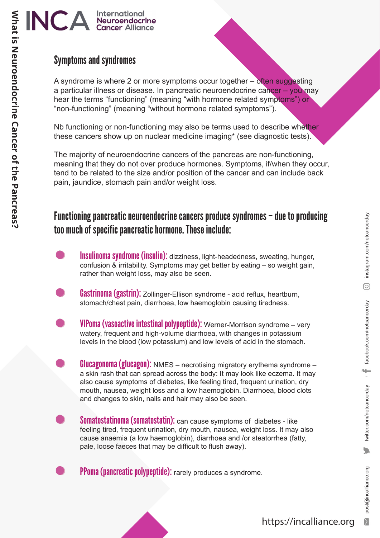## INCA International

#### Symptoms and syndromes

A syndrome is where 2 or more symptoms occur together – often suggesting a particular illness or disease. In pancreatic neuroendocrine cancer – you may hear the terms "functioning" (meaning "with hormone related symptoms") or "non-functioning" (meaning "without hormone related symptoms").

Nb functioning or non-functioning may also be terms used to describe whether these cancers show up on nuclear medicine imaging\* (see diagnostic tests).

The majority of neuroendocrine cancers of the pancreas are non-functioning, meaning that they do not over produce hormones. Symptoms, if/when they occur, tend to be related to the size and/or position of the cancer and can include back pain, jaundice, stomach pain and/or weight loss.

#### Functioning pancreatic neuroendocrine cancers produce syndromes – due to producing too much of specific pancreatic hormone. These include:

Insulinoma syndrome (insulin): dizziness, light-headedness, sweating, hunger, confusion & irritability. Symptoms may get better by eating – so weight gain, rather than weight loss, may also be seen.

- Gastrinoma (gastrin): Zollinger-Ellison syndrome acid reflux, heartburn, stomach/chest pain, diarrhoea, low haemoglobin causing tiredness.
	- VIPoma (vasoactive intestinal polypeptide): Werner-Morrison syndrome very watery, frequent and high-volume diarrhoea, with changes in potassium levels in the blood (low potassium) and low levels of acid in the stomach.

**Glucagonoma (glucagon):** NMES – necrotising migratory erythema syndrome – a skin rash that can spread across the body: It may look like eczema. It may also cause symptoms of diabetes, like feeling tired, frequent urination, dry mouth, nausea, weight loss and a low haemoglobin. Diarrhoea, blood clots and changes to skin, nails and hair may also be seen.

Somatostatinoma (somatostatin): can cause symptoms of diabetes - like feeling tired, frequent urination, dry mouth, nausea, weight loss. It may also cause anaemia (a low haemoglobin), diarrhoea and /or steatorrhea (fatty, pale, loose faeces that may be difficult to flush away).

PPoma (pancreatic polypeptide): rarely produces a syndrome.

÷

twitter.com/netcancerday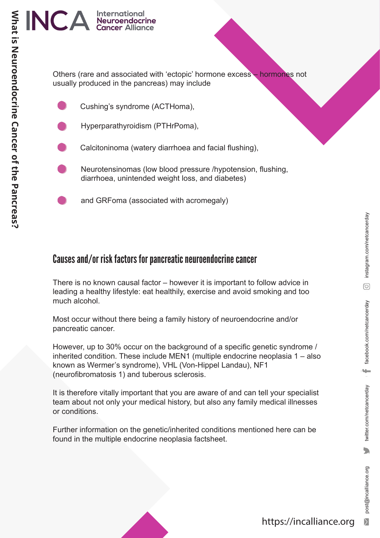## INCA International

Others (rare and associated with 'ectopic' hormone excess – hormones not usually produced in the pancreas) may include

- Cushing's syndrome (ACTHoma),
- Hyperparathyroidism (PTHrPoma),
- Calcitoninoma (watery diarrhoea and facial flushing),
- Neurotensinomas (low blood pressure /hypotension, flushing, diarrhoea, unintended weight loss, and diabetes)
	- and GRFoma (associated with acromegaly)

#### Causes and/or risk factors for pancreatic neuroendocrine cancer

There is no known causal factor – however it is important to follow advice in leading a healthy lifestyle: eat healthily, exercise and avoid smoking and too much alcohol.

Most occur without there being a family history of neuroendocrine and/or pancreatic cancer.

However, up to 30% occur on the background of a specific genetic syndrome / inherited condition. These include MEN1 (multiple endocrine neoplasia 1 – also known as Wermer's syndrome), VHL (Von-Hippel Landau), NF1 (neurofibromatosis 1) and tuberous sclerosis.

It is therefore vitally important that you are aware of and can tell your specialist team about not only your medical history, but also any family medical illnesses or conditions.

Further information on the genetic/inherited conditions mentioned here can be found in the multiple endocrine neoplasia factsheet.

ų.

twitter.com/netcancerday

 $\sum_{i=1}^{n}$ 

post@incalliance.org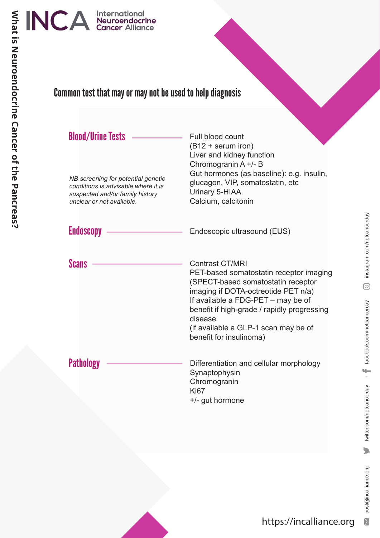

#### Common test that may or may not be used to help diagnosis

| <b>Blood/Urine Tests</b>                                                                                                                  | Full blood count<br>$(B12 + \text{serum iron})$<br>Liver and kidney function<br>Chromogranin A +/- B<br>Gut hormones (as baseline): e.g. insulin,                                                                                                                                                                 |
|-------------------------------------------------------------------------------------------------------------------------------------------|-------------------------------------------------------------------------------------------------------------------------------------------------------------------------------------------------------------------------------------------------------------------------------------------------------------------|
| NB screening for potential genetic<br>conditions is advisable where it is<br>suspected and/or family history<br>unclear or not available. | glucagon, VIP, somatostatin, etc<br>Urinary 5-HIAA<br>Calcium, calcitonin                                                                                                                                                                                                                                         |
| <b>Endoscopy</b>                                                                                                                          | Endoscopic ultrasound (EUS)                                                                                                                                                                                                                                                                                       |
| <b>Scans</b>                                                                                                                              | <b>Contrast CT/MRI</b><br>PET-based somatostatin receptor imaging<br>(SPECT-based somatostatin receptor<br>imaging if DOTA-octreotide PET n/a)<br>If available a FDG-PET - may be of<br>benefit if high-grade / rapidly progressing<br>disease<br>(if available a GLP-1 scan may be of<br>benefit for insulinoma) |
| <b>Pathology</b>                                                                                                                          | Differentiation and cellular morphology<br>Synaptophysin<br>Chromogranin<br><b>Ki67</b><br>+/- gut hormone                                                                                                                                                                                                        |

 $\sum_{i=1}^{n}$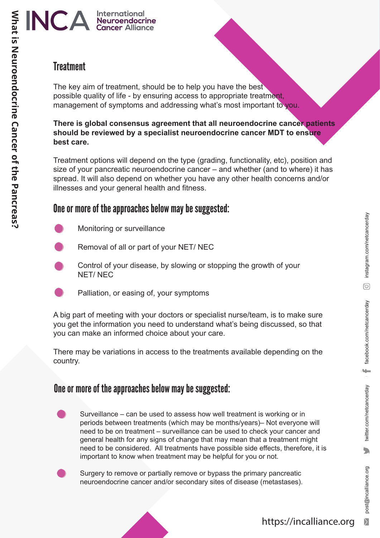#### **Treatment**

**What is Neuroendocrine Cancer of the Pancreas?**

What is Neuroendocrine Cancer of the Pancreas?

The key aim of treatment, should be to help you have the best possible quality of life - by ensuring access to appropriate treatment, management of symptoms and addressing what's most important to you.

#### **There is global consensus agreement that all neuroendocrine cancer patients should be reviewed by a specialist neuroendocrine cancer MDT to ensure best care.**

Treatment options will depend on the type (grading, functionality, etc), position and size of your pancreatic neuroendocrine cancer – and whether (and to where) it has spread. It will also depend on whether you have any other health concerns and/or illnesses and your general health and fitness.

#### One or more of the approaches below may be suggested:

- Monitoring or surveillance
- Removal of all or part of your NET/ NEC
- Control of your disease, by slowing or stopping the growth of your NET/ NEC
- Palliation, or easing of, your symptoms

A big part of meeting with your doctors or specialist nurse/team, is to make sure you get the information you need to understand what's being discussed, so that you can make an informed choice about your care.

There may be variations in access to the treatments available depending on the country.

#### One or more of the approaches below may be suggested:

Surveillance – can be used to assess how well treatment is working or in periods between treatments (which may be months/years)– Not everyone will need to be on treatment – surveillance can be used to check your cancer and general health for any signs of change that may mean that a treatment might need to be considered. All treatments have possible side effects, therefore, it is important to know when treatment may be helpful for you or not.

Surgery to remove or partially remove or bypass the primary pancreatic neuroendocrine cancer and/or secondary sites of disease (metastases).

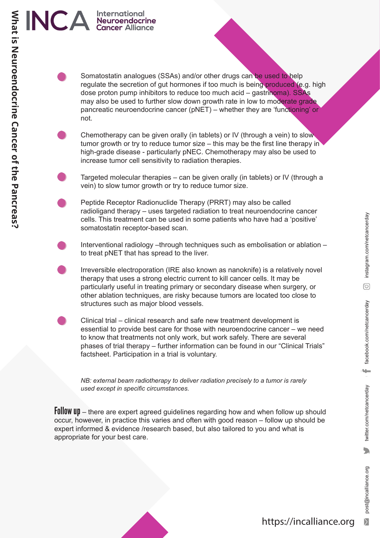- Somatostatin analogues (SSAs) and/or other drugs can be used to help regulate the secretion of gut hormones if too much is being produced (e.g. high dose proton pump inhibitors to reduce too much acid – gastrinoma). SSAs may also be used to further slow down growth rate in low to moderate grade pancreatic neuroendocrine cancer (pNET) – whether they are 'functioning' or not.
- Chemotherapy can be given orally (in tablets) or IV (through a vein) to slow tumor growth or try to reduce tumor size – this may be the first line therapy in high-grade disease - particularly pNEC. Chemotherapy may also be used to increase tumor cell sensitivity to radiation therapies.
- Targeted molecular therapies can be given orally (in tablets) or IV (through a vein) to slow tumor growth or try to reduce tumor size.
- Peptide Receptor Radionuclide Therapy (PRRT) may also be called radioligand therapy – uses targeted radiation to treat neuroendocrine cancer cells. This treatment can be used in some patients who have had a 'positive' somatostatin receptor-based scan.
	- Interventional radiology –through techniques such as embolisation or ablation to treat pNET that has spread to the liver.
		- Irreversible electroporation (IRE also known as nanoknife) is a relatively novel therapy that uses a strong electric current to kill cancer cells. It may be particularly useful in treating primary or secondary disease when surgery, or other ablation techniques, are risky because tumors are located too close to structures such as major blood vessels.
	- Clinical trial clinical research and safe new treatment development is essential to provide best care for those with neuroendocrine cancer – we need to know that treatments not only work, but work safely. There are several phases of trial therapy – further information can be found in our "Clinical Trials" factsheet. Participation in a trial is voluntary.

*NB: external beam radiotherapy to deliver radiation precisely to a tumor is rarely used except in specific circumstances.*

Follow up – there are expert agreed guidelines regarding how and when follow up should occur, however, in practice this varies and often with good reason – follow up should be expert informed & evidence /research based, but also tailored to you and what is appropriate for your best care.

# INCA International **What is Neuroendocrine Cancer of the Pancreas?** What is Neuroendocrine Cancer of the Pancreas?

instagram.com/netcancerday post@incalliance.org twitter.com/netcancerday facebook.com/netcancerday instagram.com/netcancerday  $\odot$ 

post@incalliance.org